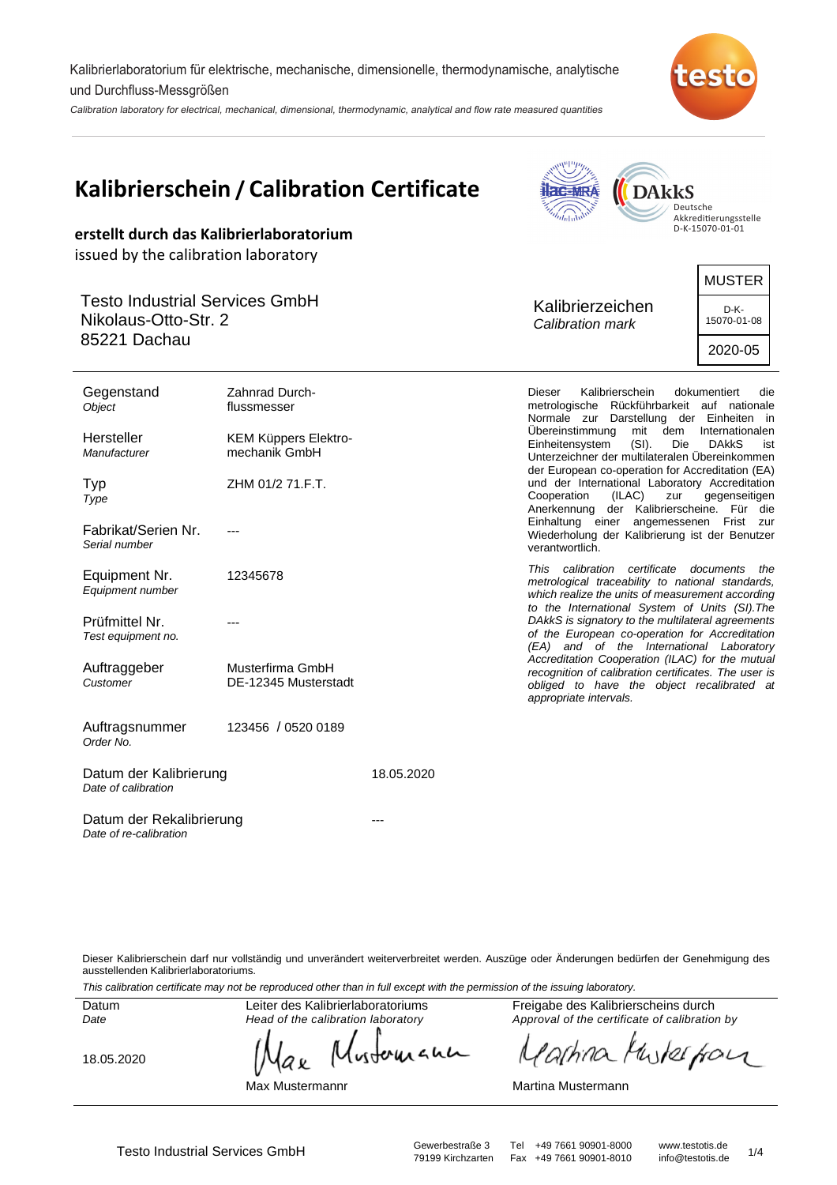Kalibrierlaboratorium für elektrische, mechanische, dimensionelle, thermodynamische, analytische und Durchfluss-Messgrößen

Calibration laboratory for electrical, mechanical, dimensional, thermodynamic, analytical and flow rate measured quantities



| Kalibrierschein / Calibration Certificate<br>erstellt durch das Kalibrierlaboratorium                                              |                                                                                            |            | <b>DAkkS</b><br>Deutsche<br>Akkreditierungsstelle<br>D-K-15070-01-01                                                                                                                                                                                                                                                                                                                                                                                                                                                                                                                                                               |
|------------------------------------------------------------------------------------------------------------------------------------|--------------------------------------------------------------------------------------------|------------|------------------------------------------------------------------------------------------------------------------------------------------------------------------------------------------------------------------------------------------------------------------------------------------------------------------------------------------------------------------------------------------------------------------------------------------------------------------------------------------------------------------------------------------------------------------------------------------------------------------------------------|
| issued by the calibration laboratory<br><b>Testo Industrial Services GmbH</b><br>Nikolaus-Otto-Str. 2<br>85221 Dachau              |                                                                                            |            | <b>MUSTER</b><br>Kalibrierzeichen<br>D-K-<br>15070-01-08<br>Calibration mark<br>2020-05                                                                                                                                                                                                                                                                                                                                                                                                                                                                                                                                            |
| Gegenstand<br>Object<br>Hersteller<br>Manufacturer<br>Typ<br>Type<br>Fabrikat/Serien Nr.<br>Serial number                          | Zahnrad Durch-<br>flussmesser<br>KEM Küppers Elektro-<br>mechanik GmbH<br>ZHM 01/2 71.F.T. |            | Dieser<br>Kalibrierschein<br>dokumentiert<br>die<br>metrologische Rückführbarkeit auf nationale<br>Normale zur Darstellung der Einheiten in<br>Ubereinstimmung<br>mit<br>dem<br>Internationalen<br>Einheitensystem<br>$(SI)$ .<br>Die<br><b>DAKKS</b><br>ist<br>Unterzeichner der multilateralen Übereinkommen<br>der European co-operation for Accreditation (EA)<br>und der International Laboratory Accreditation<br>Cooperation<br>(ILAC)<br>gegenseitigen<br>zur<br>Anerkennung der Kalibrierscheine. Für die<br>Einhaltung einer angemessenen Frist zur<br>Wiederholung der Kalibrierung ist der Benutzer<br>verantwortlich. |
| Equipment Nr.<br>Equipment number<br>Prüfmittel Nr.<br>Test equipment no.<br>Auftraggeber<br>Customer                              | 12345678<br>Musterfirma GmbH<br>DE-12345 Musterstadt                                       |            | This calibration certificate documents the<br>metrological traceability to national standards,<br>which realize the units of measurement according<br>to the International System of Units (SI). The<br>DAkkS is signatory to the multilateral agreements<br>of the European co-operation for Accreditation<br>(EA) and of the International Laboratory<br>Accreditation Cooperation (ILAC) for the mutual<br>recognition of calibration certificates. The user is<br>obliged to have the object recalibrated at<br>appropriate intervals.                                                                                         |
| Auftragsnummer<br>Order No.<br>Datum der Kalibrierung<br>Date of calibration<br>Datum der Rekalibrierung<br>Date of re-calibration | 123456 / 0520 0189                                                                         | 18.05.2020 |                                                                                                                                                                                                                                                                                                                                                                                                                                                                                                                                                                                                                                    |

Dieser Kalibrierschein darf nur vollständig und unverändert weiterverbreitet werden. Auszüge oder Änderungen bedürfen der Genehmigung des ausstellenden Kalibrierlaboratoriums.

This calibration certificate may not be reproduced other than in full except with the permission of the issuing laboratory.

Datum Date

Leiter des Kalibrierlaboratoriums Head of the calibration laboratory

18.05.2020

wherean аx

Max Mustermannr

Freigabe des Kalibrierscheins durch Approval of the certificate of calibration by

the for 'ashino

Martina Mustermann

Fax +49 7661 90901-8010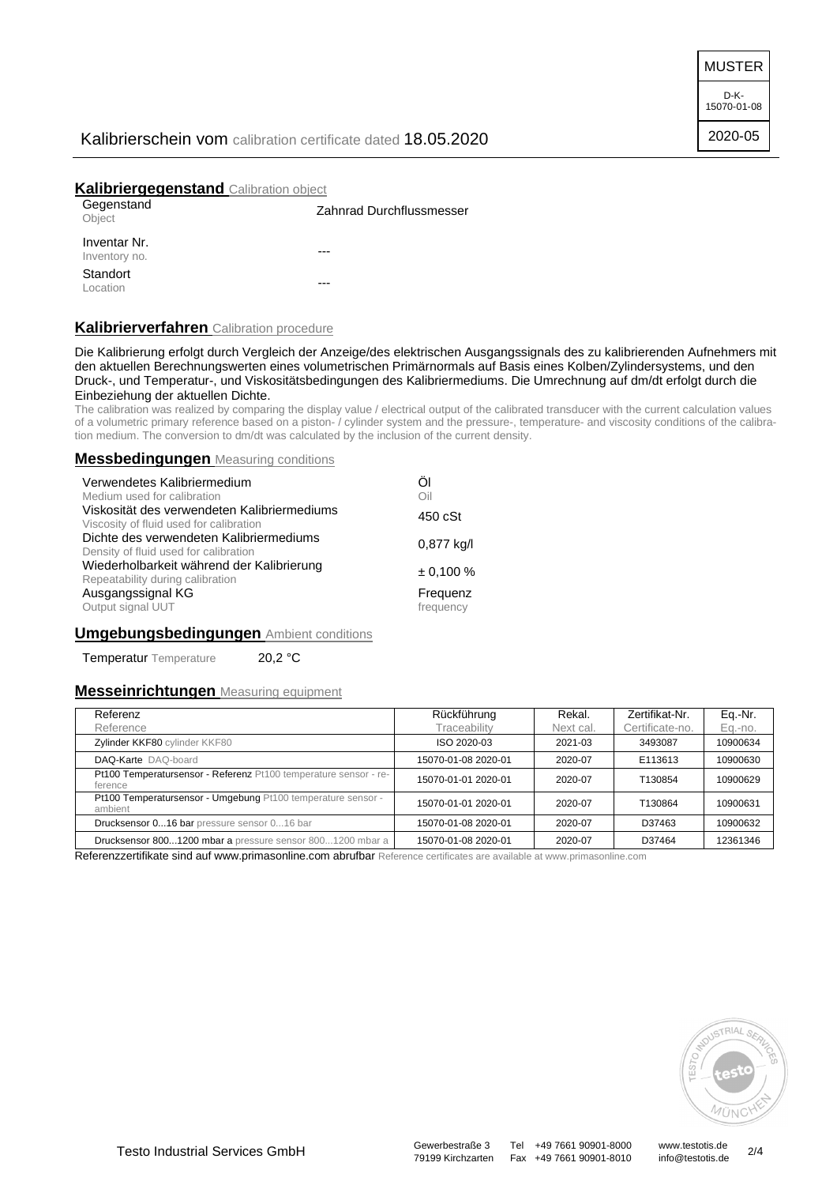MUSTER

D-K-15070-01-08 2020-05

# Kalibrierschein vom calibration certificate dated 18.05.2020

# **Kalibriergegenstand** Calibration object

| Gegenstand<br>Object          | Zahnrad Durchflussmesser |
|-------------------------------|--------------------------|
| Inventar Nr.<br>Inventory no. | ---                      |
| Standort<br>Location          | ---                      |

### **Kalibrierverfahren** Calibration procedure

Die Kalibrierung erfolgt durch Vergleich der Anzeige/des elektrischen Ausgangssignals des zu kalibrierenden Aufnehmers mit den aktuellen Berechnungswerten eines volumetrischen Primärnormals auf Basis eines Kolben/Zylindersystems, und den Druck-, und Temperatur-, und Viskositätsbedingungen des Kalibriermediums. Die Umrechnung auf dm/dt erfolgt durch die Einbeziehung der aktuellen Dichte.

The calibration was realized by comparing the display value / electrical output of the calibrated transducer with the current calculation values of a volumetric primary reference based on a piston- / cylinder system and the pressure-, temperature- and viscosity conditions of the calibration medium. The conversion to dm/dt was calculated by the inclusion of the current density.

### **Messbedingungen** Measuring conditions

| Verwendetes Kalibriermedium                                                            | Öl                    |
|----------------------------------------------------------------------------------------|-----------------------|
| Medium used for calibration                                                            | Oil                   |
| Viskosität des verwendeten Kalibriermediums<br>Viscosity of fluid used for calibration | 450 cSt               |
| Dichte des verwendeten Kalibriermediums<br>Density of fluid used for calibration       | 0,877 kg/l            |
| Wiederholbarkeit während der Kalibrierung<br>Repeatability during calibration          | $\pm 0.100 \%$        |
| Ausgangssignal KG<br>Output signal UUT                                                 | Frequenz<br>frequency |

## **Umgebungsbedingungen** Ambient conditions

Temperatur Temperature 20,2 °C

#### **Messeinrichtungen** Measuring equipment

| Referenz                                                                    | Rückführung         | Rekal.    | Zertifikat-Nr.  | Eq.-Nr.  |
|-----------------------------------------------------------------------------|---------------------|-----------|-----------------|----------|
| Reference                                                                   | Traceability        | Next cal. | Certificate-no. | Eq.-no.  |
| Zylinder KKF80 cylinder KKF80                                               | ISO 2020-03         | 2021-03   | 3493087         | 10900634 |
| DAQ-Karte DAQ-board                                                         | 15070-01-08 2020-01 | 2020-07   | E113613         | 10900630 |
| Pt100 Temperatursensor - Referenz Pt100 temperature sensor - re-<br>ference | 15070-01-01 2020-01 | 2020-07   | T130854         | 10900629 |
| Pt100 Temperatursensor - Umgebung Pt100 temperature sensor -<br>ambient     | 15070-01-01 2020-01 | 2020-07   | T130864         | 10900631 |
| Drucksensor 016 bar pressure sensor 016 bar                                 | 15070-01-08 2020-01 | 2020-07   | D37463          | 10900632 |
| Drucksensor 8001200 mbar a pressure sensor 8001200 mbar a                   | 15070-01-08 2020-01 | 2020-07   | D37464          | 12361346 |

Referenzzertifikate sind auf www.primasonline.com abrufbar Reference certificates are available at www.primasonline.com



Testo Industrial Services GmbH<br>79199 Kirchzarten Fax +49 7661 90901-8010 info@testotis.de 2/4

79199 Kirchzarten Fax +49 7661 90901-8010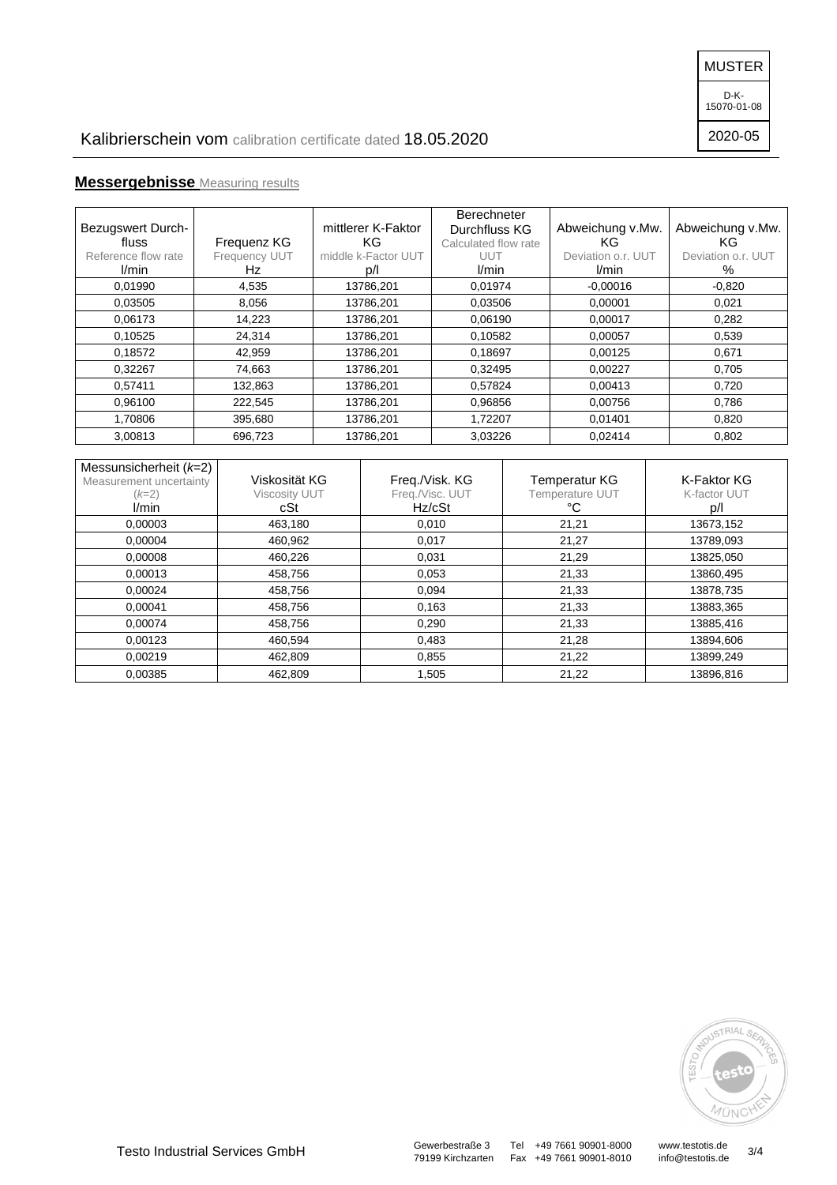MUSTER

D-K-15070-01-08

2020-05

# **Messergebnisse** Measuring results

| <b>Bezugswert Durch-</b><br>fluss<br>Reference flow rate<br><i>V</i> min | Frequenz KG<br>Frequency UUT<br>Hz | mittlerer K-Faktor<br>KG.<br>middle k-Factor UUT<br>D/1 | <b>Berechneter</b><br>Durchfluss KG<br>Calculated flow rate<br>UUT<br>l/min | Abweichung v.Mw.<br>KG.<br>Deviation o.r. UUT<br>l/min | Abweichung v.Mw.<br>KG<br>Deviation o.r. UUT<br>% |
|--------------------------------------------------------------------------|------------------------------------|---------------------------------------------------------|-----------------------------------------------------------------------------|--------------------------------------------------------|---------------------------------------------------|
| 0,01990                                                                  | 4,535                              | 13786,201                                               | 0,01974                                                                     | $-0,00016$                                             | $-0.820$                                          |
| 0,03505                                                                  | 8,056                              | 13786,201                                               | 0.03506                                                                     | 0,00001                                                | 0,021                                             |
| 0.06173                                                                  | 14,223                             | 13786,201                                               | 0,06190                                                                     | 0,00017                                                | 0,282                                             |
| 0,10525                                                                  | 24,314                             | 13786,201                                               | 0,10582                                                                     | 0,00057                                                | 0,539                                             |
| 0,18572                                                                  | 42,959                             | 13786,201                                               | 0,18697                                                                     | 0,00125                                                | 0,671                                             |
| 0,32267                                                                  | 74,663                             | 13786,201                                               | 0,32495                                                                     | 0,00227                                                | 0,705                                             |
| 0,57411                                                                  | 132,863                            | 13786,201                                               | 0,57824                                                                     | 0,00413                                                | 0,720                                             |
| 0,96100                                                                  | 222,545                            | 13786,201                                               | 0,96856                                                                     | 0,00756                                                | 0,786                                             |
| 1,70806                                                                  | 395,680                            | 13786,201                                               | 1,72207                                                                     | 0,01401                                                | 0,820                                             |
| 3.00813                                                                  | 696,723                            | 13786,201                                               | 3.03226                                                                     | 0.02414                                                | 0.802                                             |

| Messunsicherheit $(k=2)$<br>Measurement uncertainty<br>$(k=2)$ | Viskosität KG<br><b>Viscosity UUT</b> | Freq./Visk. KG<br>Freq./Visc. UUT | <b>Temperatur KG</b><br><b>Temperature UUT</b> | K-Faktor KG<br>K-factor UUT |
|----------------------------------------------------------------|---------------------------------------|-----------------------------------|------------------------------------------------|-----------------------------|
| l/min                                                          | cSt                                   | Hz/cSt                            | °C                                             | D/1                         |
| 0,00003                                                        | 463,180                               | 0,010                             | 21,21                                          | 13673,152                   |
| 0,00004                                                        | 460,962                               | 0,017                             | 21,27                                          | 13789,093                   |
| 0.00008                                                        | 460,226                               | 0,031                             | 21,29                                          | 13825,050                   |
| 0.00013                                                        | 458,756                               | 0,053                             | 21,33                                          | 13860,495                   |
| 0.00024                                                        | 458,756                               | 0,094                             | 21,33                                          | 13878,735                   |
| 0.00041                                                        | 458,756                               | 0,163                             | 21,33                                          | 13883,365                   |
| 0.00074                                                        | 458,756                               | 0,290                             | 21,33                                          | 13885,416                   |
| 0,00123                                                        | 460,594                               | 0,483                             | 21,28                                          | 13894,606                   |
| 0.00219                                                        | 462,809                               | 0,855                             | 21,22                                          | 13899,249                   |
| 0.00385                                                        | 462.809                               | 1,505                             | 21,22                                          | 13896.816                   |



79199 Kirchzarten Fax +49 7661 90901-8010